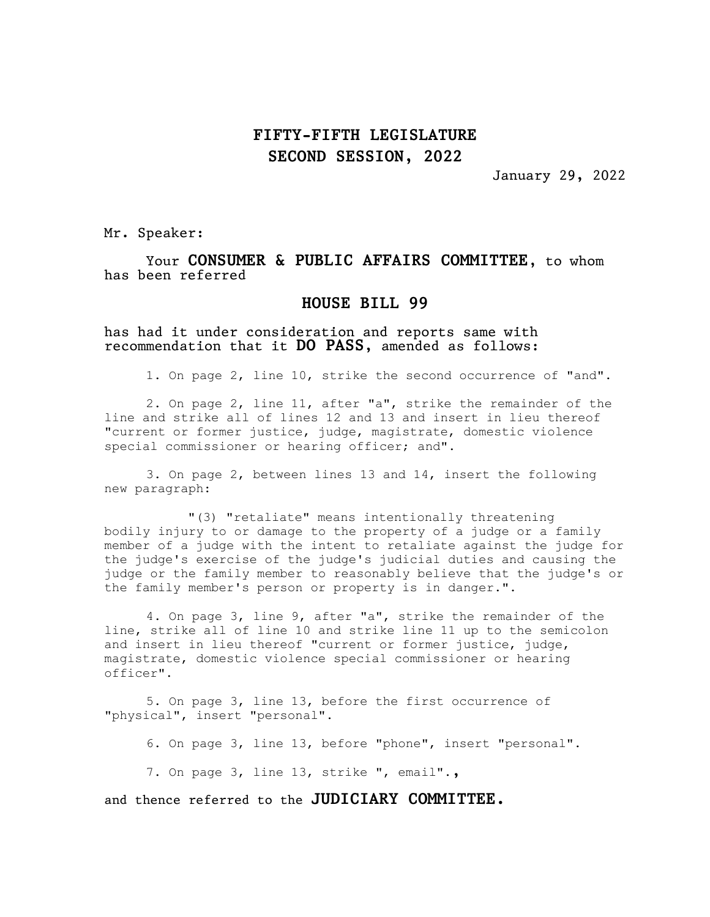## FIFTY-FIFTH LEGISLATURE SECOND SESSION, 2022

January 29, 2022

Mr. Speaker:

Your CONSUMER & PUBLIC AFFAIRS COMMITTEE, to whom has been referred

## HOUSE BILL 99

has had it under consideration and reports same with recommendation that it DO PASS, amended as follows:

1. On page 2, line 10, strike the second occurrence of "and".

2. On page 2, line 11, after "a", strike the remainder of the line and strike all of lines 12 and 13 and insert in lieu thereof "current or former justice, judge, magistrate, domestic violence special commissioner or hearing officer; and".

3. On page 2, between lines 13 and 14, insert the following new paragraph:

"(3) "retaliate" means intentionally threatening bodily injury to or damage to the property of a judge or a family member of a judge with the intent to retaliate against the judge for the judge's exercise of the judge's judicial duties and causing the judge or the family member to reasonably believe that the judge's or the family member's person or property is in danger.".

4. On page 3, line 9, after "a", strike the remainder of the line, strike all of line 10 and strike line 11 up to the semicolon and insert in lieu thereof "current or former justice, judge, magistrate, domestic violence special commissioner or hearing officer".

5. On page 3, line 13, before the first occurrence of "physical", insert "personal".

6. On page 3, line 13, before "phone", insert "personal".

7. On page 3, line 13, strike ", email".,

and thence referred to the JUDICIARY COMMITTEE.